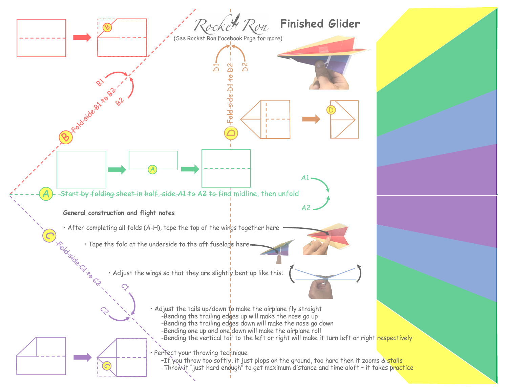